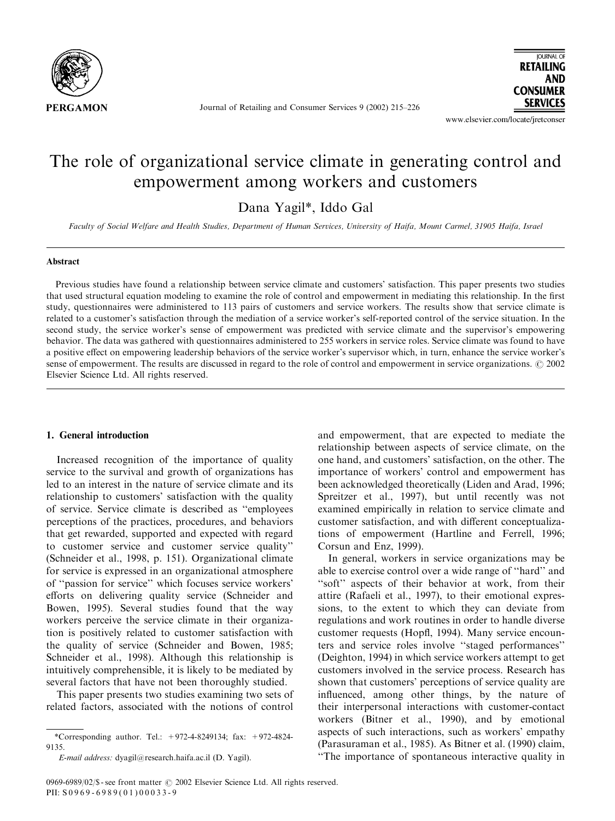

Journal of Retailing and Consumer Services 9 (2002) 215–226

**IOURNAL OF RETAILING AND CONSUMER SERVICES** 

www.elsevier.com/locate/jretconser

# The role of organizational service climate in generating control and empowerment among workers and customers

Dana Yagil\*, Iddo Gal

Faculty of Social Welfare and Health Studies, Department of Human Services, University of Haifa, Mount Carmel, 31905 Haifa, Israel

## Abstract

Previous studies have found a relationship between service climate and customers' satisfaction. This paper presents two studies that used structural equation modeling to examine the role of control and empowerment in mediating this relationship. In the first study, questionnaires were administered to 113 pairs of customers and service workers. The results show that service climate is related to a customer's satisfaction through the mediation of a service worker's self-reported control of the service situation. In the second study, the service worker's sense of empowerment was predicted with service climate and the supervisor's empowering behavior. The data was gathered with questionnaires administered to 255 workers in service roles. Service climate was found to have a positive effect on empowering leadership behaviors of the service worker's supervisor which, in turn, enhance the service worker's sense of empowerment. The results are discussed in regard to the role of control and empowerment in service organizations.  $\odot$  2002 Elsevier Science Ltd. All rights reserved.

## 1. General introduction

Increased recognition of the importance of quality service to the survival and growth of organizations has led to an interest in the nature of service climate and its relationship to customers' satisfaction with the quality of service. Service climate is described as ''employees perceptions of the practices, procedures, and behaviors that get rewarded, supported and expected with regard to customer service and customer service quality'' (Schneider et al., 1998, p. 151). Organizational climate for service is expressed in an organizational atmosphere of ''passion for service'' which focuses service workers' efforts on delivering quality service (Schneider and Bowen, 1995). Several studies found that the way workers perceive the service climate in their organization is positively related to customer satisfaction with the quality of service (Schneider and Bowen, 1985; Schneider et al., 1998). Although this relationship is intuitively comprehensible, it is likely to be mediated by several factors that have not been thoroughly studied.

This paper presents two studies examining two sets of related factors, associated with the notions of control

and empowerment, that are expected to mediate the relationship between aspects of service climate, on the one hand, and customers' satisfaction, on the other. The importance of workers' control and empowerment has been acknowledged theoretically (Liden and Arad, 1996; Spreitzer et al., 1997), but until recently was not examined empirically in relation to service climate and customer satisfaction, and with different conceptualizations of empowerment (Hartline and Ferrell, 1996; Corsun and Enz, 1999).

In general, workers in service organizations may be able to exercise control over a wide range of ''hard'' and "soft" aspects of their behavior at work, from their attire (Rafaeli et al., 1997), to their emotional expressions, to the extent to which they can deviate from regulations and work routines in order to handle diverse customer requests (Hopfl, 1994). Many service encounters and service roles involve ''staged performances'' (Deighton, 1994) in which service workers attempt to get customers involved in the service process. Research has shown that customers' perceptions of service quality are influenced, among other things, by the nature of their interpersonal interactions with customer-contact workers (Bitner et al., 1990), and by emotional aspects of such interactions, such as workers' empathy (Parasuraman et al., 1985). As Bitner et al. (1990) claim, ''The importance of spontaneous interactive quality in

<sup>\*</sup>Corresponding author. Tel.: +972-4-8249134; fax: +972-4824- 9135.

E-mail address: dyagil@research.haifa.ac.il (D. Yagil).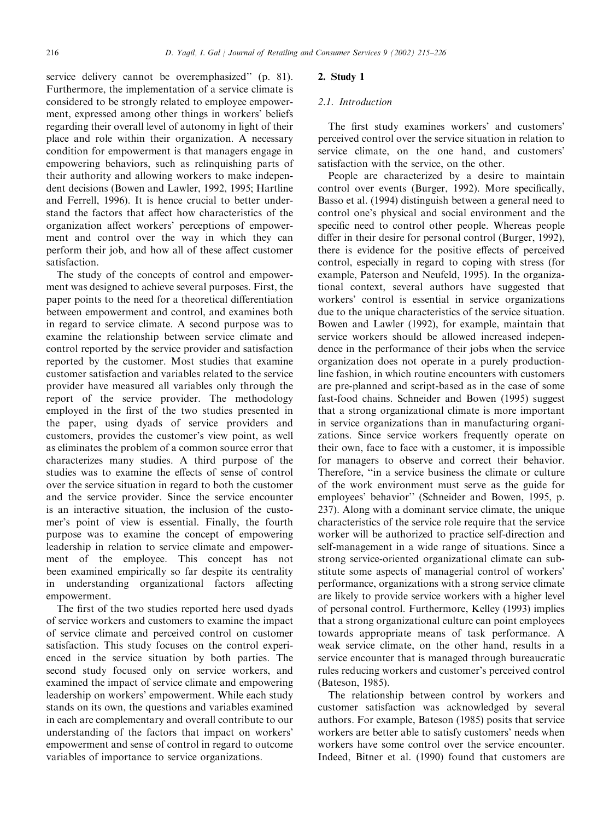service delivery cannot be overemphasized'' (p. 81). Furthermore, the implementation of a service climate is considered to be strongly related to employee empowerment, expressed among other things in workers' beliefs regarding their overall level of autonomy in light of their place and role within their organization. A necessary condition for empowerment is that managers engage in empowering behaviors, such as relinquishing parts of their authority and allowing workers to make independent decisions (Bowen and Lawler, 1992, 1995; Hartline and Ferrell, 1996). It is hence crucial to better understand the factors that affect how characteristics of the organization affect workers' perceptions of empowerment and control over the way in which they can perform their job, and how all of these affect customer satisfaction.

The study of the concepts of control and empowerment was designed to achieve several purposes. First, the paper points to the need for a theoretical differentiation between empowerment and control, and examines both in regard to service climate. A second purpose was to examine the relationship between service climate and control reported by the service provider and satisfaction reported by the customer. Most studies that examine customer satisfaction and variables related to the service provider have measured all variables only through the report of the service provider. The methodology employed in the first of the two studies presented in the paper, using dyads of service providers and customers, provides the customer's view point, as well as eliminates the problem of a common source error that characterizes many studies. A third purpose of the studies was to examine the effects of sense of control over the service situation in regard to both the customer and the service provider. Since the service encounter is an interactive situation, the inclusion of the customer's point of view is essential. Finally, the fourth purpose was to examine the concept of empowering leadership in relation to service climate and empowerment of the employee. This concept has not been examined empirically so far despite its centrality in understanding organizational factors affecting empowerment.

The first of the two studies reported here used dyads of service workers and customers to examine the impact of service climate and perceived control on customer satisfaction. This study focuses on the control experienced in the service situation by both parties. The second study focused only on service workers, and examined the impact of service climate and empowering leadership on workers' empowerment. While each study stands on its own, the questions and variables examined in each are complementary and overall contribute to our understanding of the factors that impact on workers' empowerment and sense of control in regard to outcome variables of importance to service organizations.

## 2. Study 1

### 2.1. Introduction

The first study examines workers' and customers' perceived control over the service situation in relation to service climate, on the one hand, and customers' satisfaction with the service, on the other.

People are characterized by a desire to maintain control over events (Burger, 1992). More specifically, Basso et al. (1994) distinguish between a general need to control one's physical and social environment and the specific need to control other people. Whereas people differ in their desire for personal control (Burger, 1992), there is evidence for the positive effects of perceived control, especially in regard to coping with stress (for example, Paterson and Neufeld, 1995). In the organizational context, several authors have suggested that workers' control is essential in service organizations due to the unique characteristics of the service situation. Bowen and Lawler (1992), for example, maintain that service workers should be allowed increased independence in the performance of their jobs when the service organization does not operate in a purely productionline fashion, in which routine encounters with customers are pre-planned and script-based as in the case of some fast-food chains. Schneider and Bowen (1995) suggest that a strong organizational climate is more important in service organizations than in manufacturing organizations. Since service workers frequently operate on their own, face to face with a customer, it is impossible for managers to observe and correct their behavior. Therefore, ''in a service business the climate or culture of the work environment must serve as the guide for employees' behavior'' (Schneider and Bowen, 1995, p. 237). Along with a dominant service climate, the unique characteristics of the service role require that the service worker will be authorized to practice self-direction and self-management in a wide range of situations. Since a strong service-oriented organizational climate can substitute some aspects of managerial control of workers' performance, organizations with a strong service climate are likely to provide service workers with a higher level of personal control. Furthermore, Kelley (1993) implies that a strong organizational culture can point employees towards appropriate means of task performance. A weak service climate, on the other hand, results in a service encounter that is managed through bureaucratic rules reducing workers and customer's perceived control (Bateson, 1985).

The relationship between control by workers and customer satisfaction was acknowledged by several authors. For example, Bateson (1985) posits that service workers are better able to satisfy customers' needs when workers have some control over the service encounter. Indeed, Bitner et al. (1990) found that customers are